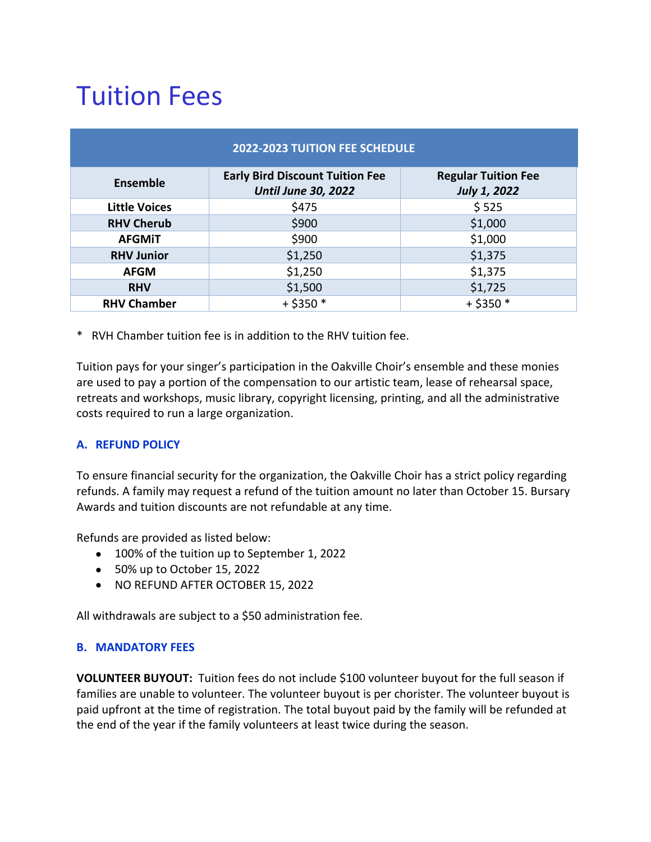# Tuition Fees

| <b>2022-2023 TUITION FEE SCHEDULE</b> |                                                                      |                                            |
|---------------------------------------|----------------------------------------------------------------------|--------------------------------------------|
| <b>Ensemble</b>                       | <b>Early Bird Discount Tuition Fee</b><br><b>Until June 30, 2022</b> | <b>Regular Tuition Fee</b><br>July 1, 2022 |
| <b>Little Voices</b>                  | \$475                                                                | \$525                                      |
| <b>RHV Cherub</b>                     | \$900                                                                | \$1,000                                    |
| <b>AFGMIT</b>                         | \$900                                                                | \$1,000                                    |
| <b>RHV Junior</b>                     | \$1,250                                                              | \$1,375                                    |
| <b>AFGM</b>                           | \$1,250                                                              | \$1,375                                    |
| <b>RHV</b>                            | \$1,500                                                              | \$1,725                                    |
| <b>RHV Chamber</b>                    | $+$ \$350 $*$                                                        | $+$ \$350 $*$                              |

\* RVH Chamber tuition fee is in addition to the RHV tuition fee.

Tuition pays for your singer's participation in the Oakville Choir's ensemble and these monies are used to pay a portion of the compensation to our artistic team, lease of rehearsal space, retreats and workshops, music library, copyright licensing, printing, and all the administrative costs required to run a large organization.

### **A. REFUND POLICY**

To ensure financial security for the organization, the Oakville Choir has a strict policy regarding refunds. A family may request a refund of the tuition amount no later than October 15. Bursary Awards and tuition discounts are not refundable at any time.

Refunds are provided as listed below:

- 100% of the tuition up to September 1, 2022
- 50% up to October 15, 2022
- NO REFUND AFTER OCTOBER 15, 2022

All withdrawals are subject to a \$50 administration fee.

### **B. MANDATORY FEES**

**VOLUNTEER BUYOUT:** Tuition fees do not include \$100 volunteer buyout for the full season if families are unable to volunteer. The volunteer buyout is per chorister. The volunteer buyout is paid upfront at the time of registration. The total buyout paid by the family will be refunded at the end of the year if the family volunteers at least twice during the season.